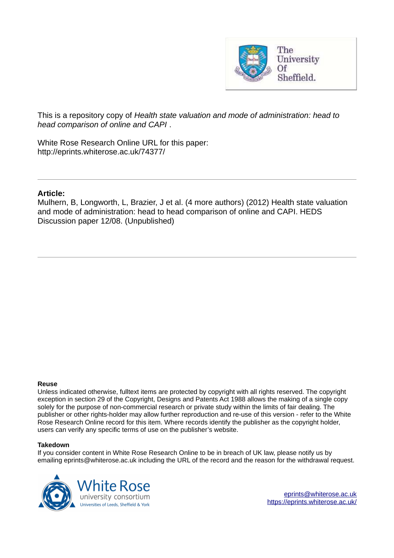

This is a repository copy of *Health state valuation and mode of administration: head to head comparison of online and CAPI* .

White Rose Research Online URL for this paper: http://eprints.whiterose.ac.uk/74377/

## **Article:**

Mulhern, B, Longworth, L, Brazier, J et al. (4 more authors) (2012) Health state valuation and mode of administration: head to head comparison of online and CAPI. HEDS Discussion paper 12/08. (Unpublished)

#### **Reuse**

Unless indicated otherwise, fulltext items are protected by copyright with all rights reserved. The copyright exception in section 29 of the Copyright, Designs and Patents Act 1988 allows the making of a single copy solely for the purpose of non-commercial research or private study within the limits of fair dealing. The publisher or other rights-holder may allow further reproduction and re-use of this version - refer to the White Rose Research Online record for this item. Where records identify the publisher as the copyright holder, users can verify any specific terms of use on the publisher's website.

#### **Takedown**

If you consider content in White Rose Research Online to be in breach of UK law, please notify us by emailing eprints@whiterose.ac.uk including the URL of the record and the reason for the withdrawal request.

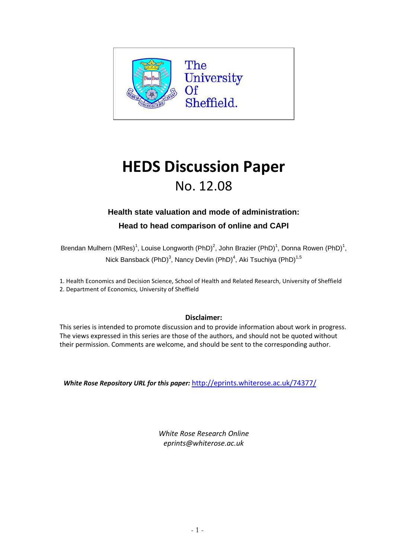

# **HEDS Discussion Paper** No. 12.08

## **Health state valuation and mode of administration:**

**Head to head comparison of online and CAPI**

Brendan Mulhern (MRes)<sup>1</sup>, Louise Longworth (PhD)<sup>2</sup>, John Brazier (PhD)<sup>1</sup>, Donna Rowen (PhD)<sup>1</sup>, Nick Bansback (PhD)<sup>3</sup>, Nancy Devlin (PhD)<sup>4</sup>, Aki Tsuchiya (PhD)<sup>1,5</sup>

1. Health Economics and Decision Science, School of Health and Related Research, University of Sheffield 2. Department of Economics, University of Sheffield

## **Disclaimer:**

This series is intended to promote discussion and to provide information about work in progress. The views expressed in this series are those of the authors, and should not be quoted without their permission. Comments are welcome, and should be sent to the corresponding author.

*White Rose Repository URL for this paper:* http://eprints.whiterose.ac.uk/74377/

*White Rose Research Online eprints@whiterose.ac.uk*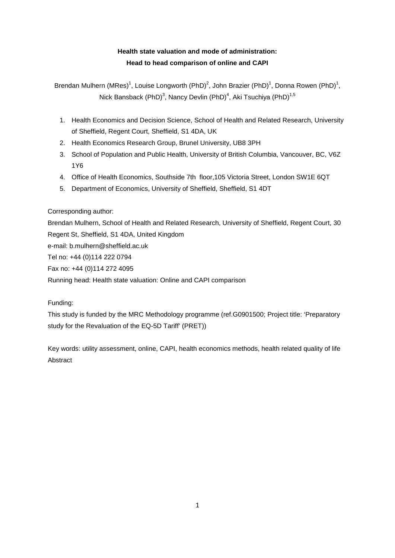## **Health state valuation and mode of administration: Head to head comparison of online and CAPI**

Brendan Mulhern (MRes)<sup>1</sup>, Louise Longworth (PhD)<sup>2</sup>, John Brazier (PhD)<sup>1</sup>, Donna Rowen (PhD)<sup>1</sup>, Nick Bansback (PhD) $^3$ , Nancy Devlin (PhD) $^4$ , Aki Tsuchiya (PhD) $^{1,5}$ 

- 1. Health Economics and Decision Science, School of Health and Related Research, University of Sheffield, Regent Court, Sheffield, S1 4DA, UK
- 2. Health Economics Research Group, Brunel University, UB8 3PH
- 3. School of Population and Public Health, University of British Columbia, Vancouver, BC, V6Z 1Y6
- 4. Office of Health Economics, Southside 7th floor,105 Victoria Street, London SW1E 6QT
- 5. Department of Economics, University of Sheffield, Sheffield, S1 4DT

## Corresponding author:

Brendan Mulhern, School of Health and Related Research, University of Sheffield, Regent Court, 30 Regent St, Sheffield, S1 4DA, United Kingdom e-mail: b.mulhern@sheffield.ac.uk Tel no: +44 (0)114 222 0794 Fax no: +44 (0)114 272 4095 Running head: Health state valuation: Online and CAPI comparison

## Funding:

This study is funded by the MRC Methodology programme (ref.G0901500; Project title: 'Preparatory study for the Revaluation of the EQ-5D Tariff' (PRET))

Key words: utility assessment, online, CAPI, health economics methods, health related quality of life Abstract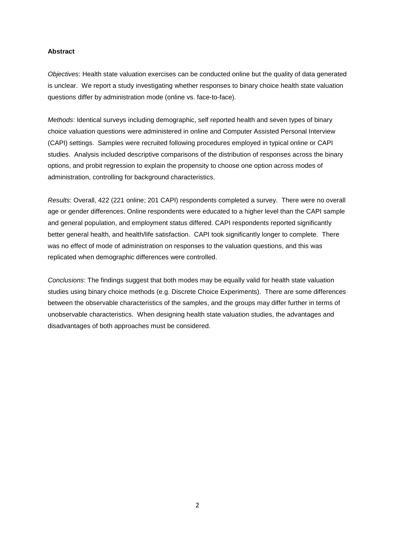#### **Abstract**

Objectives: Health state valuation exercises can be conducted online but the quality of data generated is unclear. We report a study investigating whether responses to binary choice health state valuation questions differ by administration mode (online vs. face-to-face).

Methods: Identical surveys including demographic, self reported health and seven types of binary choice valuation questions were administered in online and Computer Assisted Personal Interview (CAPI) settings. Samples were recruited following procedures employed in typical online or CAPI studies. Analysis included descriptive comparisons of the distribution of responses across the binary options, and probit regression to explain the propensity to choose one option across modes of administration, controlling for background characteristics.

Results: Overall, 422 (221 online; 201 CAPI) respondents completed a survey. There were no overall age or gender differences. Online respondents were educated to a higher level than the CAPI sample and general population, and employment status differed. CAPI respondents reported significantly better general health, and health/life satisfaction. CAPI took significantly longer to complete. There was no effect of mode of administration on responses to the valuation questions, and this was replicated when demographic differences were controlled.

Conclusions: The findings suggest that both modes may be equally valid for health state valuation studies using binary choice methods (e.g. Discrete Choice Experiments). There are some differences between the observable characteristics of the samples, and the groups may differ further in terms of unobservable characteristics. When designing health state valuation studies, the advantages and disadvantages of both approaches must be considered.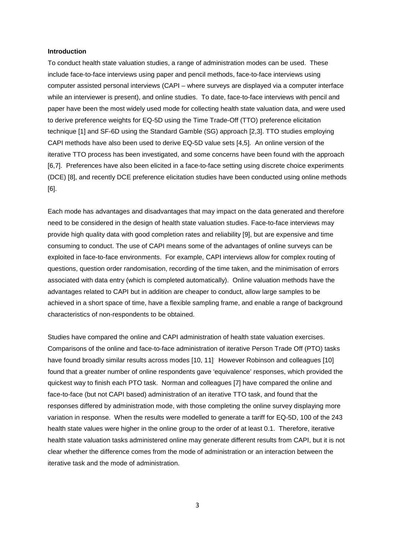#### **Introduction**

To conduct health state valuation studies, a range of administration modes can be used. These include face-to-face interviews using paper and pencil methods, face-to-face interviews using computer assisted personal interviews (CAPI – where surveys are displayed via a computer interface while an interviewer is present), and online studies. To date, face-to-face interviews with pencil and paper have been the most widely used mode for collecting health state valuation data, and were used to derive preference weights for EQ-5D using the Time Trade-Off (TTO) preference elicitation technique [1] and SF-6D using the Standard Gamble (SG) approach [2,3]. TTO studies employing CAPI methods have also been used to derive EQ-5D value sets [4,5]. An online version of the iterative TTO process has been investigated, and some concerns have been found with the approach [6,7]. Preferences have also been elicited in a face-to-face setting using discrete choice experiments (DCE) [8], and recently DCE preference elicitation studies have been conducted using online methods [6].

Each mode has advantages and disadvantages that may impact on the data generated and therefore need to be considered in the design of health state valuation studies. Face-to-face interviews may provide high quality data with good completion rates and reliability [9], but are expensive and time consuming to conduct. The use of CAPI means some of the advantages of online surveys can be exploited in face-to-face environments. For example, CAPI interviews allow for complex routing of questions, question order randomisation, recording of the time taken, and the minimisation of errors associated with data entry (which is completed automatically). Online valuation methods have the advantages related to CAPI but in addition are cheaper to conduct, allow large samples to be achieved in a short space of time, have a flexible sampling frame, and enable a range of background characteristics of non-respondents to be obtained.

Studies have compared the online and CAPI administration of health state valuation exercises. Comparisons of the online and face-to-face administration of iterative Person Trade Off (PTO) tasks have found broadly similar results across modes [10, 11] However Robinson and colleagues [10] found that a greater number of online respondents gave 'equivalence' responses, which provided the quickest way to finish each PTO task. Norman and colleagues [7] have compared the online and face-to-face (but not CAPI based) administration of an iterative TTO task, and found that the responses differed by administration mode, with those completing the online survey displaying more variation in response. When the results were modelled to generate a tariff for EQ-5D, 100 of the 243 health state values were higher in the online group to the order of at least 0.1. Therefore, iterative health state valuation tasks administered online may generate different results from CAPI, but it is not clear whether the difference comes from the mode of administration or an interaction between the iterative task and the mode of administration.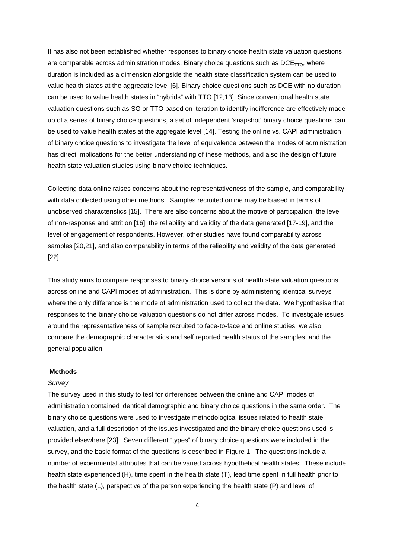It has also not been established whether responses to binary choice health state valuation questions are comparable across administration modes. Binary choice questions such as  $DCE_{TTO}$ , where duration is included as a dimension alongside the health state classification system can be used to value health states at the aggregate level [6]. Binary choice questions such as DCE with no duration can be used to value health states in "hybrids" with TTO [12,13]. Since conventional health state valuation questions such as SG or TTO based on iteration to identify indifference are effectively made up of a series of binary choice questions, a set of independent 'snapshot' binary choice questions can be used to value health states at the aggregate level [14]. Testing the online vs. CAPI administration of binary choice questions to investigate the level of equivalence between the modes of administration has direct implications for the better understanding of these methods, and also the design of future health state valuation studies using binary choice techniques.

Collecting data online raises concerns about the representativeness of the sample, and comparability with data collected using other methods. Samples recruited online may be biased in terms of unobserved characteristics [15]. There are also concerns about the motive of participation, the level of non-response and attrition [16], the reliability and validity of the data generated [17-19], and the level of engagement of respondents. However, other studies have found comparability across samples [20,21], and also comparability in terms of the reliability and validity of the data generated [22].

This study aims to compare responses to binary choice versions of health state valuation questions across online and CAPI modes of administration. This is done by administering identical surveys where the only difference is the mode of administration used to collect the data. We hypothesise that responses to the binary choice valuation questions do not differ across modes. To investigate issues around the representativeness of sample recruited to face-to-face and online studies, we also compare the demographic characteristics and self reported health status of the samples, and the general population.

#### **Methods**

#### **Survey**

The survey used in this study to test for differences between the online and CAPI modes of administration contained identical demographic and binary choice questions in the same order. The binary choice questions were used to investigate methodological issues related to health state valuation, and a full description of the issues investigated and the binary choice questions used is provided elsewhere [23]. Seven different "types" of binary choice questions were included in the survey, and the basic format of the questions is described in Figure 1. The questions include a number of experimental attributes that can be varied across hypothetical health states. These include health state experienced (H), time spent in the health state (T), lead time spent in full health prior to the health state (L), perspective of the person experiencing the health state (P) and level of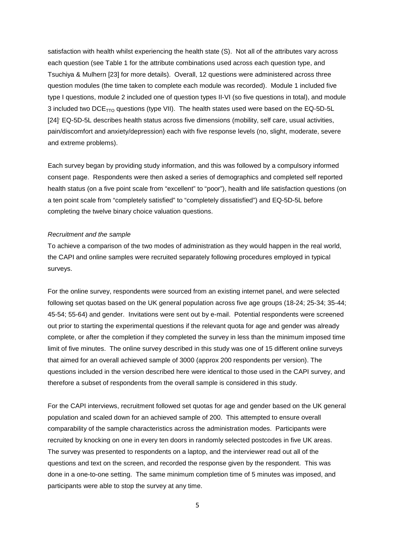satisfaction with health whilst experiencing the health state (S). Not all of the attributes vary across each question (see Table 1 for the attribute combinations used across each question type, and Tsuchiya & Mulhern [23] for more details). Overall, 12 questions were administered across three question modules (the time taken to complete each module was recorded). Module 1 included five type I questions, module 2 included one of question types II-VI (so five questions in total), and module 3 included two  $DCE_{TTO}$  questions (type VII). The health states used were based on the EQ-5D-5L [24] EQ-5D-5L describes health status across five dimensions (mobility, self care, usual activities, pain/discomfort and anxiety/depression) each with five response levels (no, slight, moderate, severe and extreme problems).

Each survey began by providing study information, and this was followed by a compulsory informed consent page. Respondents were then asked a series of demographics and completed self reported health status (on a five point scale from "excellent" to "poor"), health and life satisfaction questions (on a ten point scale from "completely satisfied" to "completely dissatisfied") and EQ-5D-5L before completing the twelve binary choice valuation questions.

#### Recruitment and the sample

To achieve a comparison of the two modes of administration as they would happen in the real world, the CAPI and online samples were recruited separately following procedures employed in typical surveys.

For the online survey, respondents were sourced from an existing internet panel, and were selected following set quotas based on the UK general population across five age groups (18-24; 25-34; 35-44; 45-54; 55-64) and gender. Invitations were sent out by e-mail. Potential respondents were screened out prior to starting the experimental questions if the relevant quota for age and gender was already complete, or after the completion if they completed the survey in less than the minimum imposed time limit of five minutes. The online survey described in this study was one of 15 different online surveys that aimed for an overall achieved sample of 3000 (approx 200 respondents per version). The questions included in the version described here were identical to those used in the CAPI survey, and therefore a subset of respondents from the overall sample is considered in this study.

For the CAPI interviews, recruitment followed set quotas for age and gender based on the UK general population and scaled down for an achieved sample of 200. This attempted to ensure overall comparability of the sample characteristics across the administration modes. Participants were recruited by knocking on one in every ten doors in randomly selected postcodes in five UK areas. The survey was presented to respondents on a laptop, and the interviewer read out all of the questions and text on the screen, and recorded the response given by the respondent. This was done in a one-to-one setting. The same minimum completion time of 5 minutes was imposed, and participants were able to stop the survey at any time.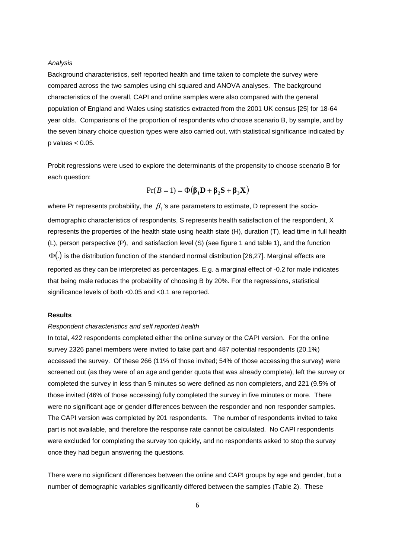#### Analysis

Background characteristics, self reported health and time taken to complete the survey were compared across the two samples using chi squared and ANOVA analyses. The background characteristics of the overall, CAPI and online samples were also compared with the general population of England and Wales using statistics extracted from the 2001 UK census [25] for 18-64 year olds. Comparisons of the proportion of respondents who choose scenario B, by sample, and by the seven binary choice question types were also carried out, with statistical significance indicated by  $p$  values  $< 0.05$ .

Probit regressions were used to explore the determinants of the propensity to choose scenario B for each question:

$$
Pr(B = 1) = \Phi(\beta_1 \mathbf{D} + \beta_2 \mathbf{S} + \beta_3 \mathbf{X})
$$

where Pr represents probability, the  $\,\beta_{\scriptscriptstyle i}$ 's are parameters to estimate, D represent the sociodemographic characteristics of respondents, S represents health satisfaction of the respondent, X represents the properties of the health state using health state (H), duration (T), lead time in full health (L), person perspective (P), and satisfaction level (S) (see figure 1 and table 1), and the function  $\Phi(.)$  is the distribution function of the standard normal distribution [26,27]. Marginal effects are reported as they can be interpreted as percentages. E.g. a marginal effect of -0.2 for male indicates that being male reduces the probability of choosing B by 20%. For the regressions, statistical significance levels of both <0.05 and <0.1 are reported.

#### **Results**

#### Respondent characteristics and self reported health

In total, 422 respondents completed either the online survey or the CAPI version. For the online survey 2326 panel members were invited to take part and 487 potential respondents (20.1%) accessed the survey. Of these 266 (11% of those invited; 54% of those accessing the survey) were screened out (as they were of an age and gender quota that was already complete), left the survey or completed the survey in less than 5 minutes so were defined as non completers, and 221 (9.5% of those invited (46% of those accessing) fully completed the survey in five minutes or more. There were no significant age or gender differences between the responder and non responder samples. The CAPI version was completed by 201 respondents. The number of respondents invited to take part is not available, and therefore the response rate cannot be calculated. No CAPI respondents were excluded for completing the survey too quickly, and no respondents asked to stop the survey once they had begun answering the questions.

There were no significant differences between the online and CAPI groups by age and gender, but a number of demographic variables significantly differed between the samples (Table 2). These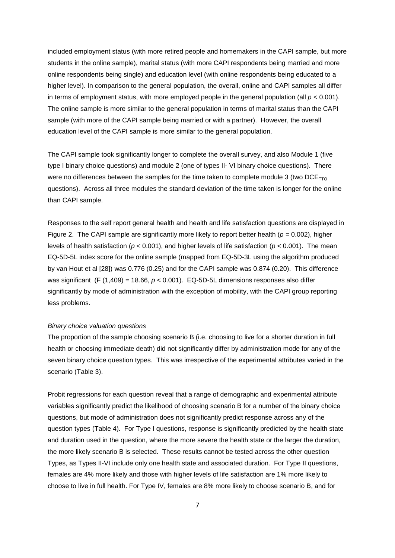included employment status (with more retired people and homemakers in the CAPI sample, but more students in the online sample), marital status (with more CAPI respondents being married and more online respondents being single) and education level (with online respondents being educated to a higher level). In comparison to the general population, the overall, online and CAPI samples all differ in terms of employment status, with more employed people in the general population (all  $p < 0.001$ ). The online sample is more similar to the general population in terms of marital status than the CAPI sample (with more of the CAPI sample being married or with a partner). However, the overall education level of the CAPI sample is more similar to the general population.

The CAPI sample took significantly longer to complete the overall survey, and also Module 1 (five type I binary choice questions) and module 2 (one of types II- VI binary choice questions). There were no differences between the samples for the time taken to complete module 3 (two  $DCE_{TTO}$ questions). Across all three modules the standard deviation of the time taken is longer for the online than CAPI sample.

Responses to the self report general health and health and life satisfaction questions are displayed in Figure 2. The CAPI sample are significantly more likely to report better health ( $p = 0.002$ ), higher levels of health satisfaction ( $p < 0.001$ ), and higher levels of life satisfaction ( $p < 0.001$ ). The mean EQ-5D-5L index score for the online sample (mapped from EQ-5D-3L using the algorithm produced by van Hout et al [28]) was 0.776 (0.25) and for the CAPI sample was 0.874 (0.20). This difference was significant (F (1,409) = 18.66,  $p < 0.001$ ). EQ-5D-5L dimensions responses also differ significantly by mode of administration with the exception of mobility, with the CAPI group reporting less problems.

#### Binary choice valuation questions

The proportion of the sample choosing scenario B (i.e. choosing to live for a shorter duration in full health or choosing immediate death) did not significantly differ by administration mode for any of the seven binary choice question types. This was irrespective of the experimental attributes varied in the scenario (Table 3).

Probit regressions for each question reveal that a range of demographic and experimental attribute variables significantly predict the likelihood of choosing scenario B for a number of the binary choice questions, but mode of administration does not significantly predict response across any of the question types (Table 4). For Type I questions, response is significantly predicted by the health state and duration used in the question, where the more severe the health state or the larger the duration, the more likely scenario B is selected. These results cannot be tested across the other question Types, as Types II-VI include only one health state and associated duration. For Type II questions, females are 4% more likely and those with higher levels of life satisfaction are 1% more likely to choose to live in full health. For Type IV, females are 8% more likely to choose scenario B, and for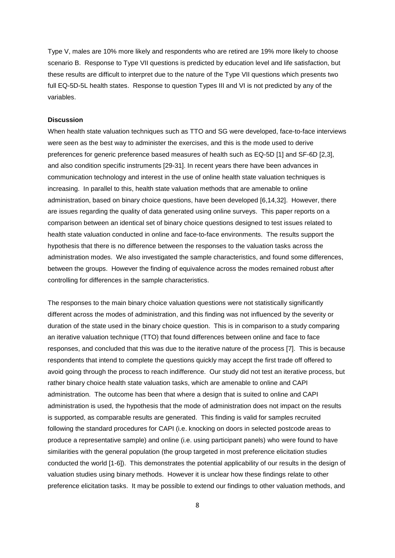Type V, males are 10% more likely and respondents who are retired are 19% more likely to choose scenario B. Response to Type VII questions is predicted by education level and life satisfaction, but these results are difficult to interpret due to the nature of the Type VII questions which presents two full EQ-5D-5L health states. Response to question Types III and VI is not predicted by any of the variables.

#### **Discussion**

When health state valuation techniques such as TTO and SG were developed, face-to-face interviews were seen as the best way to administer the exercises, and this is the mode used to derive preferences for generic preference based measures of health such as EQ-5D [1] and SF-6D [2,3], and also condition specific instruments [29-31]. In recent years there have been advances in communication technology and interest in the use of online health state valuation techniques is increasing. In parallel to this, health state valuation methods that are amenable to online administration, based on binary choice questions, have been developed [6,14,32]. However, there are issues regarding the quality of data generated using online surveys. This paper reports on a comparison between an identical set of binary choice questions designed to test issues related to health state valuation conducted in online and face-to-face environments. The results support the hypothesis that there is no difference between the responses to the valuation tasks across the administration modes. We also investigated the sample characteristics, and found some differences, between the groups. However the finding of equivalence across the modes remained robust after controlling for differences in the sample characteristics.

The responses to the main binary choice valuation questions were not statistically significantly different across the modes of administration, and this finding was not influenced by the severity or duration of the state used in the binary choice question. This is in comparison to a study comparing an iterative valuation technique (TTO) that found differences between online and face to face responses, and concluded that this was due to the iterative nature of the process [7]. This is because respondents that intend to complete the questions quickly may accept the first trade off offered to avoid going through the process to reach indifference. Our study did not test an iterative process, but rather binary choice health state valuation tasks, which are amenable to online and CAPI administration. The outcome has been that where a design that is suited to online and CAPI administration is used, the hypothesis that the mode of administration does not impact on the results is supported, as comparable results are generated. This finding is valid for samples recruited following the standard procedures for CAPI (i.e. knocking on doors in selected postcode areas to produce a representative sample) and online (i.e. using participant panels) who were found to have similarities with the general population (the group targeted in most preference elicitation studies conducted the world [1-6]). This demonstrates the potential applicability of our results in the design of valuation studies using binary methods. However it is unclear how these findings relate to other preference elicitation tasks. It may be possible to extend our findings to other valuation methods, and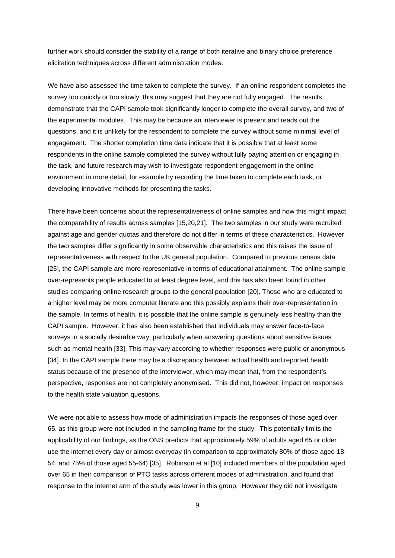further work should consider the stability of a range of both iterative and binary choice preference elicitation techniques across different administration modes.

We have also assessed the time taken to complete the survey. If an online respondent completes the survey too quickly or too slowly, this may suggest that they are not fully engaged. The results demonstrate that the CAPI sample took significantly longer to complete the overall survey, and two of the experimental modules. This may be because an interviewer is present and reads out the questions, and it is unlikely for the respondent to complete the survey without some minimal level of engagement. The shorter completion time data indicate that it is possible that at least some respondents in the online sample completed the survey without fully paying attention or engaging in the task, and future research may wish to investigate respondent engagement in the online environment in more detail, for example by recording the time taken to complete each task, or developing innovative methods for presenting the tasks.

There have been concerns about the representativeness of online samples and how this might impact the comparability of results across samples [15,20,21]. The two samples in our study were recruited against age and gender quotas and therefore do not differ in terms of these characteristics. However the two samples differ significantly in some observable characteristics and this raises the issue of representativeness with respect to the UK general population. Compared to previous census data [25], the CAPI sample are more representative in terms of educational attainment. The online sample over-represents people educated to at least degree level, and this has also been found in other studies comparing online research groups to the general population [20]. Those who are educated to a higher level may be more computer literate and this possibly explains their over-representation in the sample. In terms of health, it is possible that the online sample is genuinely less healthy than the CAPI sample. However, it has also been established that individuals may answer face-to-face surveys in a socially desirable way, particularly when answering questions about sensitive issues such as mental health [33]. This may vary according to whether responses were public or anonymous [34]. In the CAPI sample there may be a discrepancy between actual health and reported health status because of the presence of the interviewer, which may mean that, from the respondent's perspective, responses are not completely anonymised. This did not, however, impact on responses to the health state valuation questions.

We were not able to assess how mode of administration impacts the responses of those aged over 65, as this group were not included in the sampling frame for the study. This potentially limits the applicability of our findings, as the ONS predicts that approximately 59% of adults aged 65 or older use the internet every day or almost everyday (in comparison to approximately 80% of those aged 18- 54, and 75% of those aged 55-64) [35]. Robinson et al [10] included members of the population aged over 65 in their comparison of PTO tasks across different modes of administration, and found that response to the internet arm of the study was lower in this group. However they did not investigate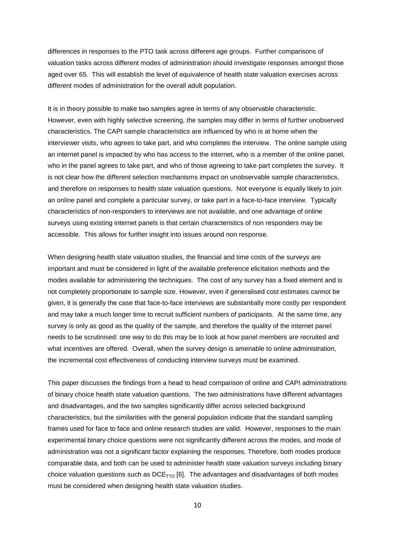differences in responses to the PTO task across different age groups. Further comparisons of valuation tasks across different modes of administration should investigate responses amongst those aged over 65. This will establish the level of equivalence of health state valuation exercises across different modes of administration for the overall adult population.

It is in theory possible to make two samples agree in terms of any observable characteristic. However, even with highly selective screening, the samples may differ in terms of further unobserved characteristics. The CAPI sample characteristics are influenced by who is at home when the interviewer visits, who agrees to take part, and who completes the interview. The online sample using an internet panel is impacted by who has access to the internet, who is a member of the online panel, who in the panel agrees to take part, and who of those agreeing to take part completes the survey. It is not clear how the different selection mechanisms impact on unobservable sample characteristics, and therefore on responses to health state valuation questions. Not everyone is equally likely to join an online panel and complete a particular survey, or take part in a face-to-face interview. Typically characteristics of non-responders to interviews are not available, and one advantage of online surveys using existing internet panels is that certain characteristics of non responders may be accessible. This allows for further insight into issues around non response.

When designing health state valuation studies, the financial and time costs of the surveys are important and must be considered in light of the available preference elicitation methods and the modes available for administering the techniques. The cost of any survey has a fixed element and is not completely proportionate to sample size. However, even if generalised cost estimates cannot be given, it is generally the case that face-to-face interviews are substantially more costly per respondent and may take a much longer time to recruit sufficient numbers of participants. At the same time, any survey is only as good as the quality of the sample, and therefore the quality of the internet panel needs to be scrutinised: one way to do this may be to look at how panel members are recruited and what incentives are offered. Overall, when the survey design is amenable to online administration, the incremental cost effectiveness of conducting interview surveys must be examined.

This paper discusses the findings from a head to head comparison of online and CAPI administrations of binary choice health state valuation questions. The two administrations have different advantages and disadvantages, and the two samples significantly differ across selected background characteristics, but the similarities with the general population indicate that the standard sampling frames used for face to face and online research studies are valid. However, responses to the main experimental binary choice questions were not significantly different across the modes, and mode of administration was not a significant factor explaining the responses. Therefore, both modes produce comparable data, and both can be used to administer health state valuation surveys including binary choice valuation questions such as  $DCE<sub>TTO</sub>$  [6]. The advantages and disadvantages of both modes must be considered when designing health state valuation studies.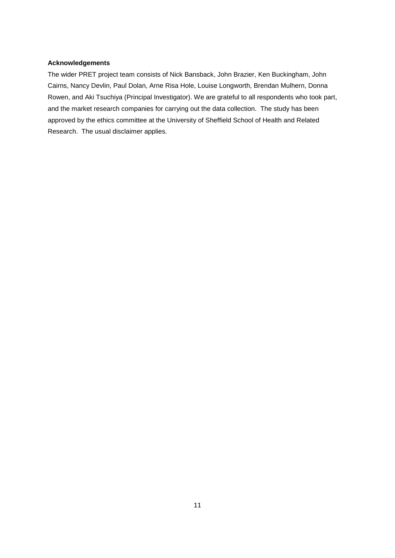#### **Acknowledgements**

The wider PRET project team consists of Nick Bansback, John Brazier, Ken Buckingham, John Cairns, Nancy Devlin, Paul Dolan, Arne Risa Hole, Louise Longworth, Brendan Mulhern, Donna Rowen, and Aki Tsuchiya (Principal Investigator). We are grateful to all respondents who took part, and the market research companies for carrying out the data collection. The study has been approved by the ethics committee at the University of Sheffield School of Health and Related Research. The usual disclaimer applies.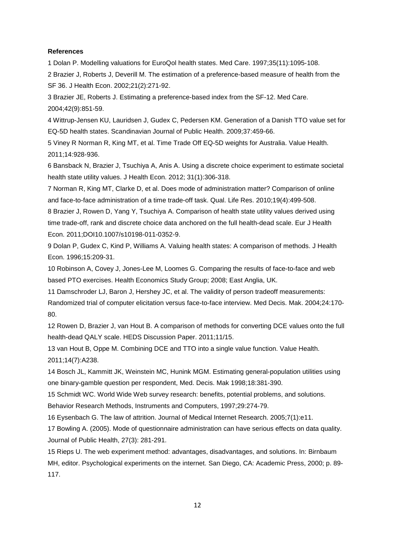#### **References**

1 Dolan P. Modelling valuations for EuroQol health states. Med Care. 1997;35(11):1095-108.

2 Brazier J, Roberts J, Deverill M. The estimation of a preference-based measure of health from the SF 36. J Health Econ. 2002;21(2):271-92.

3 Brazier JE, Roberts J. Estimating a preference-based index from the SF-12. Med Care. 2004;42(9):851-59.

4 Wittrup-Jensen KU, Lauridsen J, Gudex C, Pedersen KM. Generation of a Danish TTO value set for EQ-5D health states. Scandinavian Journal of Public Health. 2009;37:459-66.

5 Viney R Norman R, King MT, et al. Time Trade Off EQ-5D weights for Australia. Value Health. 2011;14:928-936.

6 Bansback N, Brazier J, Tsuchiya A, Anis A. Using a discrete choice experiment to estimate societal health state utility values. J Health Econ. 2012; 31(1):306-318.

7 Norman R, King MT, Clarke D, et al. Does mode of administration matter? Comparison of online and face-to-face administration of a time trade-off task. Qual. Life Res. 2010;19(4):499-508.

8 Brazier J, Rowen D, Yang Y, Tsuchiya A. Comparison of health state utility values derived using time trade-off, rank and discrete choice data anchored on the full health-dead scale. Eur J Health Econ. 2011;DOI10.1007/s10198-011-0352-9.

9 Dolan P, Gudex C, Kind P, Williams A. Valuing health states: A comparison of methods. J Health Econ. 1996;15:209-31.

10 Robinson A, Covey J, Jones-Lee M, Loomes G. Comparing the results of face-to-face and web based PTO exercises. Health Economics Study Group; 2008; East Anglia, UK.

11 Damschroder LJ, Baron J, Hershey JC, et al. The validity of person tradeoff measurements:

Randomized trial of computer elicitation versus face-to-face interview. Med Decis. Mak. 2004;24:170- 80.

12 Rowen D, Brazier J, van Hout B. A comparison of methods for converting DCE values onto the full health-dead QALY scale. HEDS Discussion Paper. 2011;11/15.

13 van Hout B, Oppe M. Combining DCE and TTO into a single value function. Value Health. 2011;14(7):A238.

14 Bosch JL, Kammitt JK, Weinstein MC, Hunink MGM. Estimating general-population utilities using one binary-gamble question per respondent, Med. Decis. Mak 1998;18:381-390.

15 Schmidt WC. World Wide Web survey research: benefits, potential problems, and solutions.

Behavior Research Methods, Instruments and Computers, 1997;29:274-79.

16 Eysenbach G. The law of attrition. Journal of Medical Internet Research. 2005;7(1):e11.

17 Bowling A. (2005). Mode of questionnaire administration can have serious effects on data quality. Journal of Public Health, 27(3): 281-291.

15 Rieps U. The web experiment method: advantages, disadvantages, and solutions. In: Birnbaum MH, editor. Psychological experiments on the internet. San Diego, CA: Academic Press, 2000; p. 89- 117.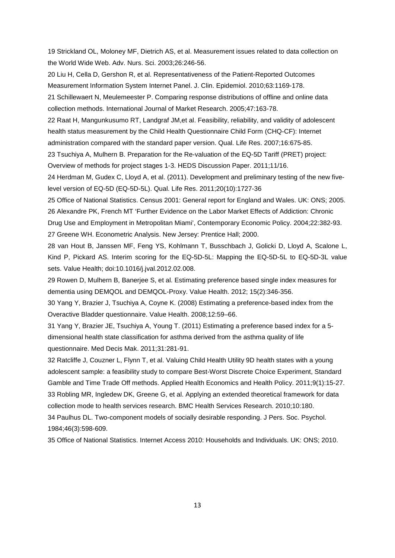19 Strickland OL, Moloney MF, Dietrich AS, et al. Measurement issues related to data collection on the World Wide Web. Adv. Nurs. Sci. 2003;26:246-56.

20 Liu H, Cella D, Gershon R, et al. Representativeness of the Patient-Reported Outcomes Measurement Information System Internet Panel. J. Clin. Epidemiol. 2010;63:1169-178.

21 Schillewaert N, Meulemeester P. Comparing response distributions of offline and online data collection methods. International Journal of Market Research. 2005;47:163-78.

22 Raat H, Mangunkusumo RT, Landgraf JM,et al. Feasibility, reliability, and validity of adolescent health status measurement by the Child Health Questionnaire Child Form (CHQ-CF): Internet

administration compared with the standard paper version. Qual. Life Res. 2007;16:675-85.

23 Tsuchiya A, Mulhern B. Preparation for the Re-valuation of the EQ-5D Tariff (PRET) project: Overview of methods for project stages 1-3. HEDS Discussion Paper. 2011;11/16.

24 Herdman M, Gudex C, Lloyd A, et al. (2011). Development and preliminary testing of the new fivelevel version of EQ-5D (EQ-5D-5L). Qual. Life Res. 2011;20(10):1727-36

25 Office of National Statistics. Census 2001: General report for England and Wales. UK: ONS; 2005. 26 Alexandre PK, French MT 'Further Evidence on the Labor Market Effects of Addiction: Chronic Drug Use and Employment in Metropolitan Miami', Contemporary Economic Policy. 2004;22:382-93. 27 Greene WH. Econometric Analysis. New Jersey: Prentice Hall; 2000.

28 van Hout B, Janssen MF, Feng YS, Kohlmann T, Busschbach J, Golicki D, Lloyd A, Scalone L, Kind P, Pickard AS. Interim scoring for the EQ-5D-5L: Mapping the EQ-5D-5L to EQ-5D-3L value sets. Value Health; doi:10.1016/j.jval.2012.02.008.

29 Rowen D, Mulhern B, Banerjee S, et al. Estimating preference based single index measures for dementia using DEMQOL and DEMQOL-Proxy. Value Health. 2012; 15(2):346-356.

30 Yang Y, Brazier J, Tsuchiya A, Coyne K. (2008) Estimating a preference-based index from the Overactive Bladder questionnaire. Value Health. 2008;12:59–66.

31 Yang Y, Brazier JE, Tsuchiya A, Young T. (2011) Estimating a preference based index for a 5 dimensional health state classification for asthma derived from the asthma quality of life questionnaire. Med Decis Mak. 2011;31:281-91.

32 Ratcliffe J, Couzner L, Flynn T, et al. Valuing Child Health Utility 9D health states with a young adolescent sample: a feasibility study to compare Best-Worst Discrete Choice Experiment, Standard Gamble and Time Trade Off methods. Applied Health Economics and Health Policy. 2011;9(1):15-27. 33 Robling MR, Ingledew DK, Greene G, et al. Applying an extended theoretical framework for data collection mode to health services research. BMC Health Services Research. 2010;10:180. 34 Paulhus DL. Two-component models of socially desirable responding. J Pers. Soc. Psychol. 1984;46(3):598-609.

35 Office of National Statistics. Internet Access 2010: Households and Individuals. UK: ONS; 2010.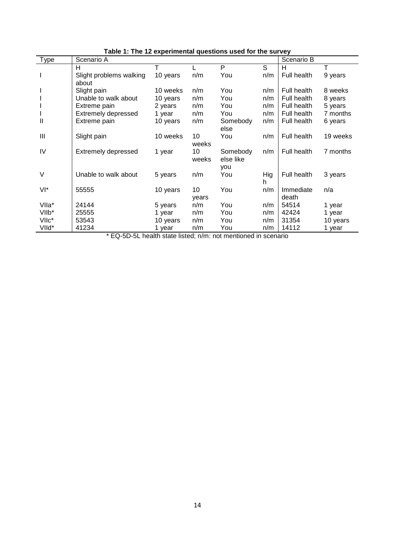| $1.110$ is onportional quoditorio upon to the out |                            |          |       |           |     |             |          |
|---------------------------------------------------|----------------------------|----------|-------|-----------|-----|-------------|----------|
| Type                                              | Scenario A                 |          |       |           |     | Scenario B  |          |
|                                                   | H                          |          |       | P         | S   | н           | т        |
|                                                   | Slight problems walking    | 10 years | n/m   | You       | n/m | Full health | 9 years  |
|                                                   | about                      |          |       |           |     |             |          |
|                                                   | Slight pain                | 10 weeks | n/m   | You       | n/m | Full health | 8 weeks  |
|                                                   | Unable to walk about       | 10 years | n/m   | You       | n/m | Full health | 8 years  |
|                                                   | Extreme pain               | 2 years  | n/m   | You       | n/m | Full health | 5 years  |
|                                                   | <b>Extremely depressed</b> | 1 year   | n/m   | You       | n/m | Full health | 7 months |
| $\mathbf{I}$                                      | Extreme pain               | 10 years | n/m   | Somebody  | n/m | Full health | 6 years  |
|                                                   |                            |          |       | else      |     |             |          |
| Ш                                                 | Slight pain                | 10 weeks | 10    | You       | n/m | Full health | 19 weeks |
|                                                   |                            |          | weeks |           |     |             |          |
| IV                                                | <b>Extremely depressed</b> | 1 year   | 10    | Somebody  | n/m | Full health | 7 months |
|                                                   |                            |          | weeks | else like |     |             |          |
|                                                   |                            |          |       | you       |     |             |          |
| V                                                 | Unable to walk about       | 5 years  | n/m   | You       | Hig | Full health | 3 years  |
|                                                   |                            |          |       |           | h   |             |          |
| $VI^*$                                            | 55555                      | 10 years | 10    | You       | n/m | Immediate   | n/a      |
|                                                   |                            |          | years |           |     | death       |          |
| VIIa*                                             | 24144                      | 5 years  | n/m   | You       | n/m | 54514       | 1 year   |
| VII <sub>b</sub> *                                | 25555                      | 1 year   | n/m   | You       | n/m | 42424       | 1 year   |
| VIIc*                                             | 53543                      | 10 years | n/m   | You       | n/m | 31354       | 10 years |
| VIId*                                             | 41234                      | 1 year   | n/m   | You       | n/m | 14112       | 1 year   |

**Table 1: The 12 experimental questions used for the survey**

\* EQ-5D-5L health state listed; n/m: not mentioned in scenario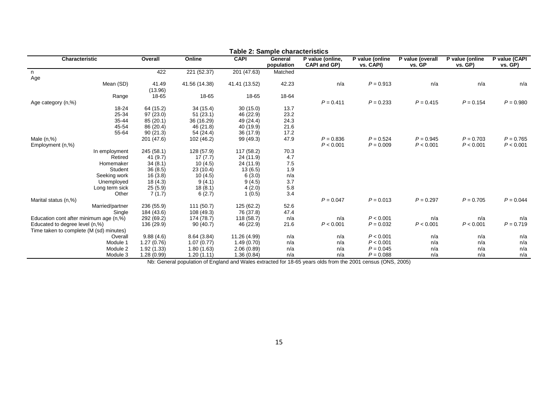| rable 2. Sample Characteristics         |            |               |               |                       |                                  |                              |                            |                            |                          |
|-----------------------------------------|------------|---------------|---------------|-----------------------|----------------------------------|------------------------------|----------------------------|----------------------------|--------------------------|
| Characteristic                          | Overall    | Online        | <b>CAPI</b>   | General<br>population | P value (online,<br>CAPI and GP) | P value (online<br>vs. CAPI) | P value (overall<br>vs. GP | P value (online<br>vs. GP) | P value (CAPI<br>vs. GP) |
| n                                       | 422        | 221 (52.37)   | 201 (47.63)   | Matched               |                                  |                              |                            |                            |                          |
| Age                                     |            |               |               |                       |                                  |                              |                            |                            |                          |
| Mean (SD)                               | 41.49      | 41.56 (14.38) | 41.41 (13.52) | 42.23                 | n/a                              | $P = 0.913$                  | n/a                        | n/a                        | n/a                      |
|                                         | (13.96)    |               |               |                       |                                  |                              |                            |                            |                          |
| Range                                   | 18-65      | 18-65         | 18-65         | 18-64                 |                                  |                              |                            |                            |                          |
|                                         |            |               |               |                       | $P = 0.411$                      | $P = 0.233$                  | $P = 0.415$                | $P = 0.154$                | $P = 0.980$              |
| Age category (n,%)                      |            |               |               |                       |                                  |                              |                            |                            |                          |
| 18-24                                   | 64 (15.2)  | 34 (15.4)     | 30(15.0)      | 13.7                  |                                  |                              |                            |                            |                          |
| 25-34                                   | 97 (23.0)  | 51(23.1)      | 46 (22.9)     | 23.2                  |                                  |                              |                            |                            |                          |
| 35-44                                   | 85(20.1)   | 36 (16.29)    | 49 (24.4)     | 24.3                  |                                  |                              |                            |                            |                          |
| 45-54                                   | 86 (20.4)  | 46 (21.8)     | 40 (19.9)     | 21.6                  |                                  |                              |                            |                            |                          |
| 55-64                                   | 90(21.3)   | 54 (24.4)     | 36 (17.9)     | 17.2                  |                                  |                              |                            |                            |                          |
| Male $(n, %)$                           | 201 (47.6) | 102 (46.2)    | 99 (49.3)     | 47.9                  | $P = 0.836$                      | $P = 0.524$                  | $P = 0.945$                | $P = 0.703$                | $P = 0.765$              |
| Employment (n,%)                        |            |               |               |                       | P < 0.001                        | $P = 0.009$                  | P < 0.001                  | P < 0.001                  | P < 0.001                |
| In employment                           | 245 (58.1) | 128 (57.9)    | 117 (58.2)    | 70.3                  |                                  |                              |                            |                            |                          |
| Retired                                 | 41 (9.7)   | 17(7.7)       | 24 (11.9)     | 4.7                   |                                  |                              |                            |                            |                          |
| Homemaker                               | 34(8.1)    | 10(4.5)       | 24 (11.9)     | $7.5\,$               |                                  |                              |                            |                            |                          |
| Student                                 | 36(8.5)    | 23(10.4)      | 13(6.5)       | 1.9                   |                                  |                              |                            |                            |                          |
| Seeking work                            | 16(3.8)    | 10(4.5)       | 6(3.0)        | n/a                   |                                  |                              |                            |                            |                          |
| Unemployed                              | 18(4.3)    | 9(4.1)        | 9(4.5)        | 3.7                   |                                  |                              |                            |                            |                          |
| Long term sick                          | 25(5.9)    | 18(8.1)       | 4(2.0)        | 5.8                   |                                  |                              |                            |                            |                          |
| Other                                   | 7(1.7)     | 6(2.7)        | 1(0.5)        | 3.4                   |                                  |                              |                            |                            |                          |
| Marital status (n,%)                    |            |               |               |                       | $P = 0.047$                      | $P = 0.013$                  | $P = 0.297$                | $P = 0.705$                | $P = 0.044$              |
|                                         |            | 111(50.7)     |               | 52.6                  |                                  |                              |                            |                            |                          |
| Married/partner                         | 236 (55.9) |               | 125 (62.2)    |                       |                                  |                              |                            |                            |                          |
| Single                                  | 184 (43.6) | 108 (49.3)    | 76 (37.8)     | 47.4                  |                                  |                              |                            |                            |                          |
| Education cont after minimum age (n,%)  | 292 (69.2) | 174 (78.7)    | 118 (58.7)    | n/a                   | n/a                              | P < 0.001                    | n/a                        | n/a                        | n/a                      |
| Educated to degree level (n,%)          | 136 (29.9) | 90(40.7)      | 46 (22.9)     | 21.6                  | P < 0.001                        | $P = 0.032$                  | P < 0.001                  | P < 0.001                  | $P = 0.719$              |
| Time taken to complete (M (sd) minutes) |            |               |               |                       |                                  |                              |                            |                            |                          |
| Overall                                 | 9.88(4.6)  | 8.64(3.84)    | 11.26 (4.99)  | n/a                   | n/a                              | P < 0.001                    | n/a                        | n/a                        | n/a                      |
| Module 1                                | 1.27(0.76) | 1.07(0.77)    | 1.49(0.70)    | n/a                   | n/a                              | P < 0.001                    | n/a                        | n/a                        | n/a                      |
| Module 2                                | 1.92(1.33) | 1.80(1.63)    | 2.06(0.89)    | n/a                   | n/a                              | $P = 0.045$                  | n/a                        | n/a                        | n/a                      |
| Module 3                                | 1.28(0.99) | 1.20(1.11)    | 1.36(0.84)    | n/a                   | n/a                              | $P = 0.088$                  | n/a                        | n/a                        | n/a                      |

**Table 2: Sample characteristics**

Nb: General population of England and Wales extracted for 18-65 years olds from the 2001 census (ONS, 2005)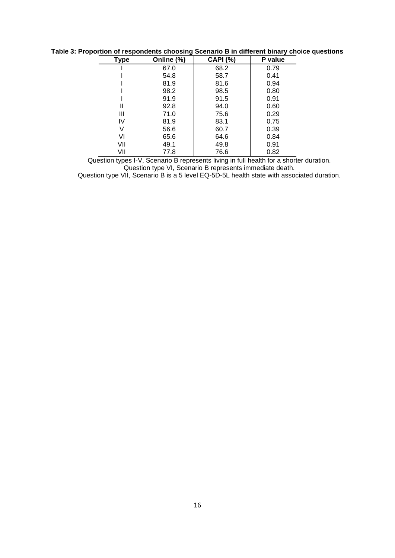| <b>Type</b> | Online (%) | <b>CAPI (%)</b> | P value |
|-------------|------------|-----------------|---------|
|             | 67.0       | 68.2            | 0.79    |
|             | 54.8       | 58.7            | 0.41    |
|             | 81.9       | 81.6            | 0.94    |
|             | 98.2       | 98.5            | 0.80    |
|             | 91.9       | 91.5            | 0.91    |
| Ш           | 92.8       | 94.0            | 0.60    |
| Ш           | 71.0       | 75.6            | 0.29    |
| IV          | 81.9       | 83.1            | 0.75    |
| V           | 56.6       | 60.7            | 0.39    |
| VI          | 65.6       | 64.6            | 0.84    |
| VII         | 49.1       | 49.8            | 0.91    |
| VII         | 77.8       | 76.6            | 0.82    |

**Table 3: Proportion of respondents choosing Scenario B in different binary choice questions**

Question types I-V, Scenario B represents living in full health for a shorter duration. Question type VI, Scenario B represents immediate death.

Question type VII, Scenario B is a 5 level EQ-5D-5L health state with associated duration.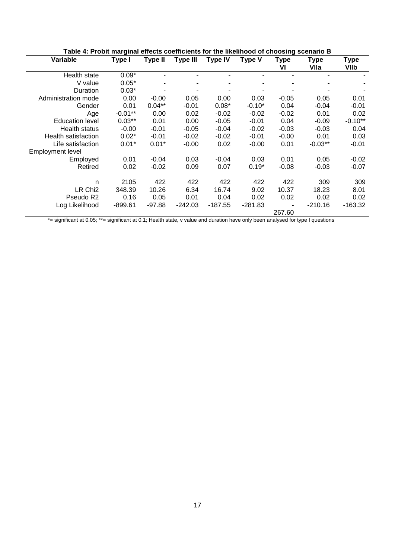| Table 4: Probit marginal effects coefficients for the likelihood of choosing scenario B |           |                |                 |                |               |                   |                     |                     |
|-----------------------------------------------------------------------------------------|-----------|----------------|-----------------|----------------|---------------|-------------------|---------------------|---------------------|
| Variable                                                                                | Type I    | <b>Type II</b> | <b>Type III</b> | <b>Type IV</b> | <b>Type V</b> | <b>Type</b><br>VI | <b>Type</b><br>VIIa | <b>Type</b><br>VIIb |
| Health state                                                                            | $0.09*$   |                |                 |                |               |                   |                     |                     |
| V value                                                                                 | $0.05*$   |                |                 |                |               |                   |                     |                     |
| Duration                                                                                | $0.03*$   |                |                 |                |               |                   |                     |                     |
| Administration mode                                                                     | 0.00      | $-0.00$        | 0.05            | 0.00           | 0.03          | $-0.05$           | 0.05                | 0.01                |
| Gender                                                                                  | 0.01      | $0.04**$       | $-0.01$         | $0.08*$        | $-0.10*$      | 0.04              | $-0.04$             | $-0.01$             |
| Age                                                                                     | $-0.01**$ | 0.00           | 0.02            | $-0.02$        | $-0.02$       | $-0.02$           | 0.01                | 0.02                |
| <b>Education level</b>                                                                  | $0.03**$  | 0.01           | 0.00            | $-0.05$        | $-0.01$       | 0.04              | $-0.09$             | $-0.10**$           |
| <b>Health status</b>                                                                    | $-0.00$   | $-0.01$        | $-0.05$         | $-0.04$        | $-0.02$       | $-0.03$           | $-0.03$             | 0.04                |
| Health satisfaction                                                                     | $0.02*$   | $-0.01$        | $-0.02$         | $-0.02$        | $-0.01$       | $-0.00$           | 0.01                | 0.03                |
| Life satisfaction                                                                       | $0.01*$   | $0.01*$        | $-0.00$         | 0.02           | $-0.00$       | 0.01              | $-0.03**$           | $-0.01$             |
| <b>Employment level</b>                                                                 |           |                |                 |                |               |                   |                     |                     |
| Employed                                                                                | 0.01      | $-0.04$        | 0.03            | $-0.04$        | 0.03          | 0.01              | 0.05                | $-0.02$             |
| Retired                                                                                 | 0.02      | $-0.02$        | 0.09            | 0.07           | $0.19*$       | $-0.08$           | $-0.03$             | $-0.07$             |
|                                                                                         |           |                |                 |                |               |                   |                     |                     |
| n                                                                                       | 2105      | 422            | 422             | 422            | 422           | 422               | 309                 | 309                 |
| LR Chi <sub>2</sub>                                                                     | 348.39    | 10.26          | 6.34            | 16.74          | 9.02          | 10.37             | 18.23               | 8.01                |
| Pseudo R <sub>2</sub>                                                                   | 0.16      | 0.05           | 0.01            | 0.04           | 0.02          | 0.02              | 0.02                | 0.02                |
| Log Likelihood                                                                          | -899.61   | -97.88         | $-242.03$       | -187.55        | $-281.83$     | $\blacksquare$    | $-210.16$           | -163.32             |
|                                                                                         |           |                |                 |                |               | 267.60            |                     |                     |

#### **Table 4: Probit marginal effects coefficients for the likelihood of choosing scenario B**

\*= significant at 0.05; \*\*= significant at 0.1; Health state, v value and duration have only been analysed for type I questions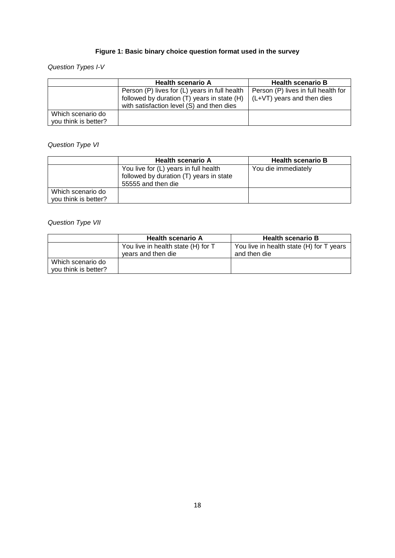## **Figure 1: Basic binary choice question format used in the survey**

## Question Types I-V

|                      | <b>Health scenario A</b>                                                                 | <b>Health scenario B</b>            |
|----------------------|------------------------------------------------------------------------------------------|-------------------------------------|
|                      | Person (P) lives for (L) years in full health                                            | Person (P) lives in full health for |
|                      | followed by duration (T) years in state (H)<br>with satisfaction level (S) and then dies | $(L+VT)$ years and then dies        |
|                      |                                                                                          |                                     |
| Which scenario do    |                                                                                          |                                     |
| you think is better? |                                                                                          |                                     |

## Question Type VI

|                      | <b>Health scenario A</b>                | <b>Health scenario B</b> |
|----------------------|-----------------------------------------|--------------------------|
|                      | You live for (L) years in full health   | You die immediately      |
|                      | followed by duration (T) years in state |                          |
|                      | 55555 and then die                      |                          |
| Which scenario do    |                                         |                          |
| you think is better? |                                         |                          |

## Question Type VII

|                                           | <b>Health scenario A</b>                                 | <b>Health scenario B</b>                                 |
|-------------------------------------------|----------------------------------------------------------|----------------------------------------------------------|
|                                           | You live in health state (H) for T<br>years and then die | You live in health state (H) for T years<br>and then die |
| Which scenario do<br>you think is better? |                                                          |                                                          |